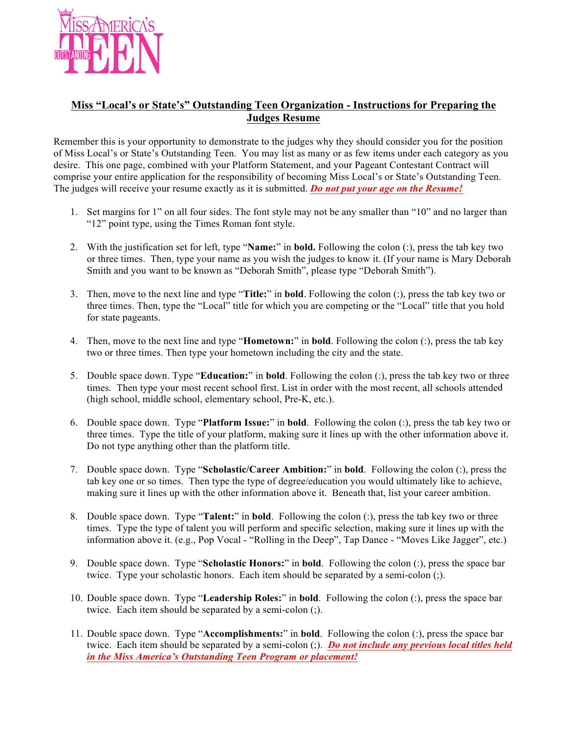

## **Miss "Local's or State's" Outstanding Teen Organization - Instructions for Preparing the Judges Resume**

Remember this is your opportunity to demonstrate to the judges why they should consider you for the position of Miss Local's or State's Outstanding Teen. You may list as many or as few items under each category as you desire. This one page, combined with your Platform Statement, and your Pageant Contestant Contract will comprise your entire application for the responsibility of becoming Miss Local's or State's Outstanding Teen. The judges will receive your resume exactly as it is submitted. *Do not put your age on the Resume!*

- 1. Set margins for 1" on all four sides. The font style may not be any smaller than "10" and no larger than "12" point type, using the Times Roman font style.
- 2. With the justification set for left, type "**Name:**" in **bold.** Following the colon (:), press the tab key two or three times. Then, type your name as you wish the judges to know it. (If your name is Mary Deborah Smith and you want to be known as "Deborah Smith", please type "Deborah Smith").
- 3. Then, move to the next line and type "**Title:**" in **bold**. Following the colon (:), press the tab key two or three times. Then, type the "Local" title for which you are competing or the "Local" title that you hold for state pageants.
- 4. Then, move to the next line and type "**Hometown:**" in **bold**. Following the colon (:), press the tab key two or three times. Then type your hometown including the city and the state.
- 5. Double space down. Type "**Education:**" in **bold**. Following the colon (:), press the tab key two or three times. Then type your most recent school first. List in order with the most recent, all schools attended (high school, middle school, elementary school, Pre-K, etc.).
- 6. Double space down. Type "**Platform Issue:**" in **bold**. Following the colon (:), press the tab key two or three times. Type the title of your platform, making sure it lines up with the other information above it. Do not type anything other than the platform title.
- 7. Double space down. Type "**Scholastic/Career Ambition:**" in **bold**. Following the colon (:), press the tab key one or so times. Then type the type of degree/education you would ultimately like to achieve, making sure it lines up with the other information above it. Beneath that, list your career ambition.
- 8. Double space down. Type "**Talent:**" in **bold**. Following the colon (:), press the tab key two or three times. Type the type of talent you will perform and specific selection, making sure it lines up with the information above it. (e.g., Pop Vocal - "Rolling in the Deep", Tap Dance - "Moves Like Jagger", etc.)
- 9. Double space down. Type "**Scholastic Honors:**" in **bold**. Following the colon (:), press the space bar twice. Type your scholastic honors. Each item should be separated by a semi-colon (;).
- 10. Double space down. Type "**Leadership Roles:**" in **bold**. Following the colon (:), press the space bar twice. Each item should be separated by a semi-colon (;).
- 11. Double space down. Type "**Accomplishments:**" in **bold**. Following the colon (:), press the space bar twice. Each item should be separated by a semi-colon (;). *Do not include any previous local titles held in the Miss America's Outstanding Teen Program or placement!*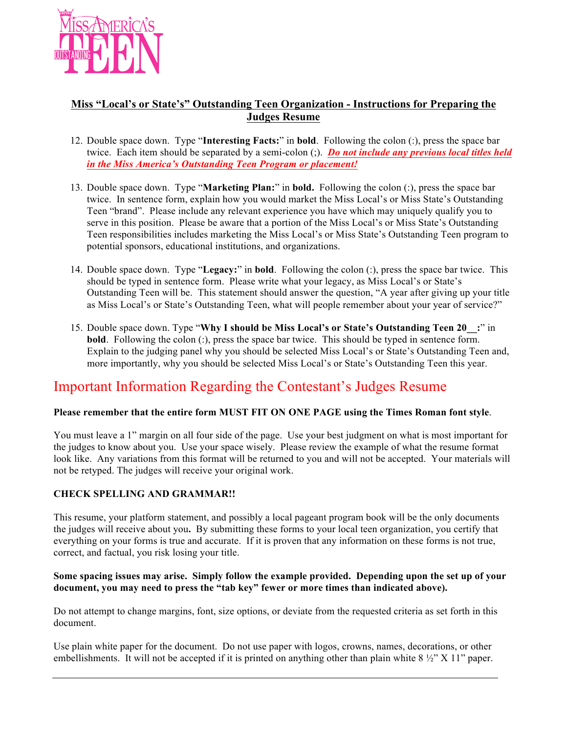

## **Miss "Local's or State's" Outstanding Teen Organization - Instructions for Preparing the Judges Resume**

- 12. Double space down. Type "**Interesting Facts:**" in **bold**. Following the colon (:), press the space bar twice. Each item should be separated by a semi-colon (;). *Do not include any previous local titles held in the Miss America's Outstanding Teen Program or placement!*
- 13. Double space down. Type "**Marketing Plan:**" in **bold.** Following the colon (:), press the space bar twice. In sentence form, explain how you would market the Miss Local's or Miss State's Outstanding Teen "brand". Please include any relevant experience you have which may uniquely qualify you to serve in this position. Please be aware that a portion of the Miss Local's or Miss State's Outstanding Teen responsibilities includes marketing the Miss Local's or Miss State's Outstanding Teen program to potential sponsors, educational institutions, and organizations.
- 14. Double space down. Type "**Legacy:**" in **bold**. Following the colon (:), press the space bar twice. This should be typed in sentence form. Please write what your legacy, as Miss Local's or State's Outstanding Teen will be. This statement should answer the question, "A year after giving up your title as Miss Local's or State's Outstanding Teen, what will people remember about your year of service?"
- 15. Double space down. Type "**Why I should be Miss Local's or State's Outstanding Teen 20\_\_:**" in **bold**. Following the colon (:), press the space bar twice. This should be typed in sentence form. Explain to the judging panel why you should be selected Miss Local's or State's Outstanding Teen and, more importantly, why you should be selected Miss Local's or State's Outstanding Teen this year.

# Important Information Regarding the Contestant's Judges Resume

### **Please remember that the entire form MUST FIT ON ONE PAGE using the Times Roman font style**.

You must leave a 1" margin on all four side of the page. Use your best judgment on what is most important for the judges to know about you. Use your space wisely. Please review the example of what the resume format look like. Any variations from this format will be returned to you and will not be accepted. Your materials will not be retyped. The judges will receive your original work.

## **CHECK SPELLING AND GRAMMAR!!**

This resume, your platform statement, and possibly a local pageant program book will be the only documents the judges will receive about you**.** By submitting these forms to your local teen organization, you certify that everything on your forms is true and accurate. If it is proven that any information on these forms is not true, correct, and factual, you risk losing your title.

#### **Some spacing issues may arise. Simply follow the example provided. Depending upon the set up of your document, you may need to press the "tab key" fewer or more times than indicated above).**

Do not attempt to change margins, font, size options, or deviate from the requested criteria as set forth in this document.

Use plain white paper for the document. Do not use paper with logos, crowns, names, decorations, or other embellishments. It will not be accepted if it is printed on anything other than plain white  $8\frac{1}{2}$ " X 11" paper.